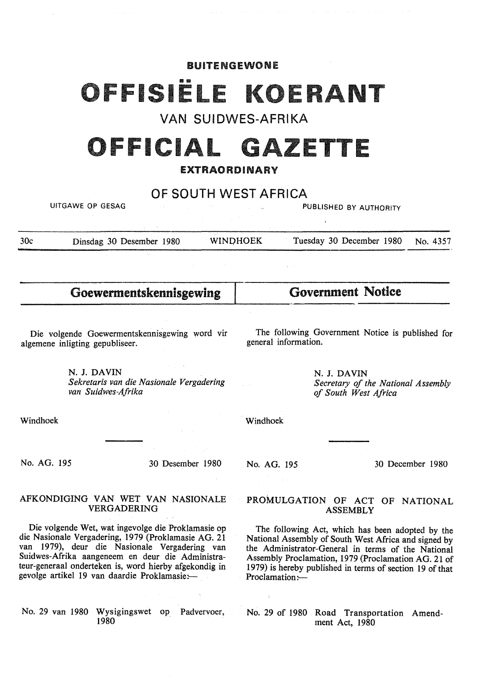#### BUITENGEWONE

# ISIË

VAN SUIDWES-AFRIKA

# OFFICIAL GAZETTE

### EXTRAORDINARY

## OF SOUTH WEST AFRICA

UITGAWE OP GESAG PUBLISHED BY AUTHORITY

30c Dinsdag 30 Desember 1980 WINOHOEK Tuesday 30 December 1980 No. 4357

Goewermentskennisgewing

## Government Notice

Die volgende Goewermentskennisgewing word vir algemene inligting gepubliseer.

The following Government Notice is published for general information.

N. J. **DAVIN**  *Sekretaris van die Nasionale Vergadering van Suidwes-Afrika* 

**N. J. DAVIN**  *Secretary of the National Assembly of South West Africa* 

Windhoek

Windhoek

No. AG. 195 30 Desember 1980

**No. AG.** 195

30 December 1980

#### AFKONDIGING VAN WET VAN NASIONALE VERGADERING

Die volgende Wet, wat ingevolge die Proklamasie op die Nasionale Vergadering, 1979 (Proklamasie AG. 21 van 1979), deur die Nasionale Vergadering van Suidwes-Afrika aangeneem en deur die Administrateur-generaal onderteken is, word hierby afgekondig in gevolge artikel 19 van daardie Proklamasie:-

No. 29 van 1980 Wysigingswet op Padvervoer, 1980

#### PROMULGATION OF ACT OF NATIONAL ASSEMBLY

The following Act, which has been adopted by the National Assembly of South West Africa and signed by the Administrator-General in terms of the National Assembly Proclamation, 1979 (Proclamation AG. 21 of 1979) is hereby published in terms of section 19 of that Proclamation:-

No. 29 of 1980 Road Transportation Amendment Act, 1980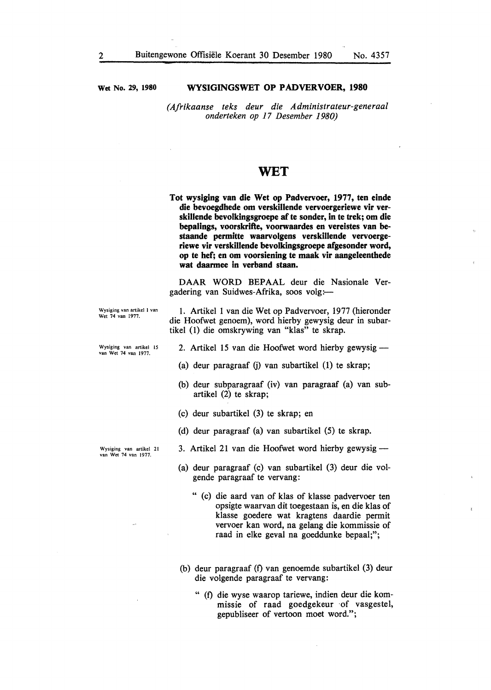**Wet No. 29, 1980** 

#### **WYSIGINGSWET OP PADVERVOER, 1980**

*(Afrikaanse teks deur die Administrateur-generaal onderteken op 17 Desember 1980)* 

### **WET**

**Tot wysiging van die Wet op Padvervoer, 1977, ten einde die bevoegdhede om verskillende vervoergeriewe vir verskillende bevolkingsgroepe af te sonder, in te trek; om die bepalings, voorskrifte, voorwaardes en vereistes van bestaande permitte waarvolgens verskillende vervoergeriewe vir verskillende bevolkingsgroepe afgesonder word, op te hef; en om voorsiening te maak vir aangeleenthede wat daarmee in verband staan.** 

DAAR WORD BEPAAL deur die Nasionale Vergadering van Suidwes-Afrika, soos volg:

Wysiging van artikel I van Wet 74 van 1977.

1. Artikel 1 van die Wet op Padvervoer, 1977 (hieronder die Hoofwet genoem), word hierby gewysig deur in subartikel (1) die omskrywing van "klas" te skrap.

Wysiging van artikel 15 van Wet 74 van 1977.

Wysiging van artikel 21 van Wet 74 van 1977.

- 2. Artikel 15 van die Hoofwet word hierby gewysig -
- (a) deur paragraaf (j) van subartikel (1) te skrap;
- (b) deur subparagraaf (iv) van paragraaf (a) van subartikel (2) te skrap;
- (c) deur subartikel (3) te skrap; en
- (d) deur paragraaf (a) van subartikel (5) te skrap.
- 3. Artikel 21 van die Hoofwet word hierby gewysig-
- (a) deur paragraaf (c) van subartikel (3) deur die volgende paragraaf te vervang:
	- " (c) die aard van of klas of klasse padvervoer ten opsigte waarvan dit toegestaan is, en die klas of klasse goedere wat kragtens daardie permit vervoer kan word, na gelang die kommissie of raad in elke geval na goeddunke bepaal;";
- (b) deur paragraaf (f) van genoemde subartikel (3) deur die volgende paragraaf te vervang:
	- " (f) die wyse waarop tariewe, indien deur die kommissie of raad goedgekeur of vasgestel, gepubliseer of vertoon moet word.";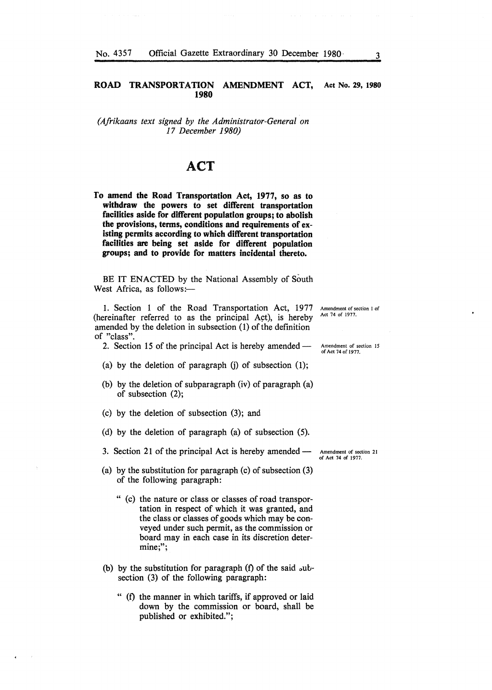#### **ROAD TRANSPORTATION AMENDMENT ACT, Act No. 29, 1980 1980**

*(Afrikaans text signed by the Administrator-General on 17 December 1980)* 

## **ACT**

**To amend the Road Transportation Act, 1977, so as to withdraw the powers to set different transportation facilities aside for different population groups; to abolish the provisions, terms, conditions and requirements of existing permits according to which different transportation facilities are being set aside for different population groups; and to provide for matters incidental thereto.** 

BE IT ENACTED by the National Assembly of South West Africa, as follows:-

!. Section 1 of the Road Transportation Act, 1977 (hereinafter referred to as the principal Act), is hereby amended by the deletion in subsection (1) of the definition of "class".

2. Section 15 of the principal Act is hereby amended-

- (a) by the deletion of paragraph  $(i)$  of subsection  $(1)$ ;
- (b) by the deletion of subparagraph (iv) of paragraph (a) of subsection (2);
- (c) by the deletion of subsection (3); and
- (d) by the deletion of paragraph (a) of subsection (5).

3. Section 21 of the principal Act is hereby amended-

- (a) by the substitution for paragraph (c) of subsection (3) of the following paragraph:
	- " (c) the nature or class or classes of road transportation in respect of which it was granted, and the class or classes of goods which may be conveyed under such permit, as the commission or board may in each case in its discretion determine;";
- (b) by the substitution for paragraph  $(f)$  of the said subsection (3) of the following paragraph:
	- " (f) the manner in which tariffs, if approved or laid down by the commission or board, shall be published or exhibited.";

Amendment of section I of Act 74 of 1977.

Amendment of section 15 of Act 74 of 1977.

Amendment of section 2 I of Act 74 of 1977.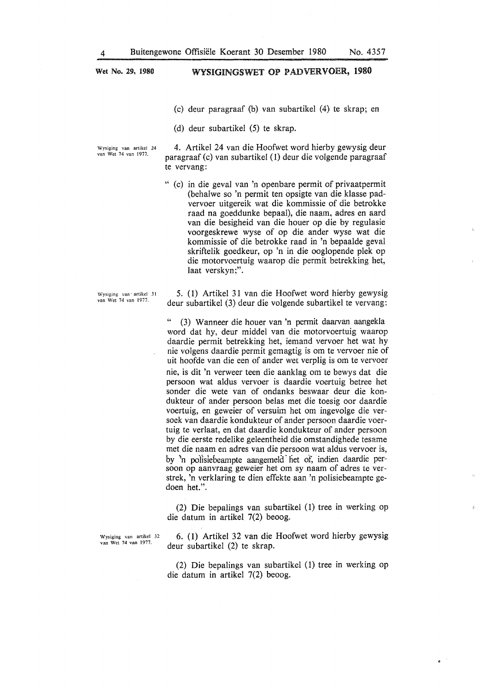**Wet No. 29, 1980** 

## WYSIGINGSWET OP PADVERVOER, 1980

- (c) deur paragraaf (b) van subartikel (4) te skrap; en
- (d) deur subartikel (5) te skrap.

Wysiging van artikel 24 van Wet 74 van 1977.

Wysiging van · artikel 31 van Wet 74 van 1977.

4. Artikel 24 van die Hoofwet word hierby gewysig deur paragraaf (c) van subartikel (1) deur die volgende paragraaf te vervang:

" (c) in die geval van 'n openbare permit of privaatpermit (behalwe so 'n permit ten opsigte van die klasse padvervoer uitgereik wat die kommissie of die betrokke raad na goeddunke bepaal), die naam, adres en aard van die besigheid van die houer op die by regulasie voorgeskrewe wyse of op die ander wyse wat die kommissie of die betrokke raad in 'n bepaalde geval skriftelik goedkeur, op 'n in die ooglopende plek op die motorvoertuig waarop die permit betrekking het, laat verskyn;".

5. (1) Artikel 31 van die Hoofwet word hierby gewysig deur subartikel (3) deur die volgende subartikel te vervang:

(3) Wanneer die houer van 'n permit daarvan aangekla word dat hy, deur middel van die motorvoertuig waarop daardie permit betrekking het, iemand vervoer het wat hy nie volgens daardie permit gemagtig is om te vervoer nie of uit hoofde van die een of ander wet verplig is om te vervoer nie, is dit 'n verweer teen die aanklag om te bewys dat die persoon wat aldus vervoer is daardie voertuig betree het sonder die wete van of ondanks beswaar deur die kondukteur of ander persoon belas met die toesig oor daardie voertuig, en geweier of versuim het om ingevolge die versoek van daardie kondukteur of ander persoon daardie voertuig te verlaat, en dat daardie kondukteur of ander persoon by die eerste redelike geleentheid die omstandighede tesame met die naam en adres van die persoon wat aldus vervoer is, by 'n polisiebeampte aangemeld het of, indien daardie persoon op aanvraag geweier het om sy naam of adres te verstrek, 'n verklaring te dien effekte aan 'n polisiebeampte gedoen het.".

(2) Die bepalings van subartikel (1) tree in werking op die datum in artikel 7(2) beoog.

Wysiging van artikel 32 van Wet 74 van 1977.

6. ( l) Artikel 32 van die Hoofwet word hierby gewysig deur subartikel (2) te skrap.

(2) Die bepalings van subartikel (1) tree in werking op die datum in artikel 7(2) beoog.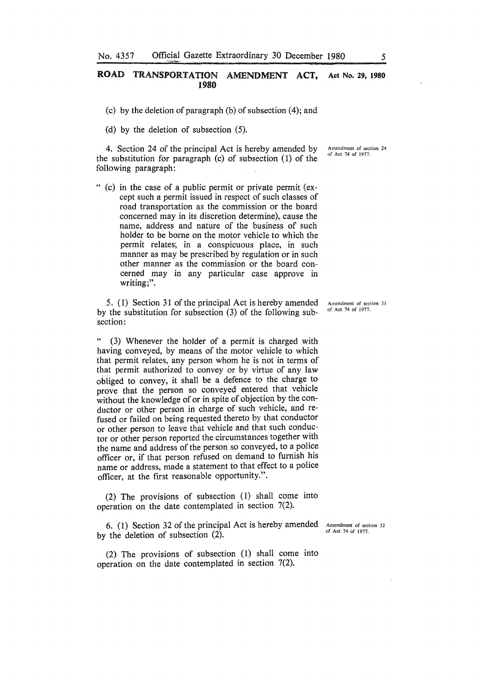#### **ROAD TRANSPORTATION AMENDMENT ACT, Act** No. **29, 1980 1980**

- (c) by the deletion of paragraph (b) of subsection  $(4)$ ; and
- (d) by the deletion of subsection (5).

4. Section 24 of the principal Act is hereby amended by the substitution for paragraph (c) of subsection (1) of the following paragraph:

" (c) in the case of a public permit or private permit (except such a permit issued in respect of such classes of road transportation as the commission or the board concerned may in its discretion determine), cause the name, address and nature of the business of such holder to be borne on the motor vehicle to which the permit relates; in a conspicuous place, in such manner as may be prescribed by regulation or in such other manner as the commission or the board concerned may in any particular case approve in writing;".

5. ( 1) Section 31 of the principal Act is hereby amended by the substitution for subsection (3) of the following subsection:

(3) Whenever the holder of a permit is charged with having conveyed, by means of the motor vehicle to which that permit relates, any person whom he is not in terms of that permit authorized to convey or by virtue of any law obiiged to convey, it shall be a defence to the charge to prove that the person so conveyed entered that vehicle without the knowledge of or in spite of objection by the conductor or other person in charge of such vehicle, and refused or failed on being requested thereto by that conductor or other person to leave that vehicle and that such conductor or other person reported the circumstances together with the name and address of the person so conveyed, to a police officer or, if that person refused on demand to furnish his name or address, made a statement to that effect to a police officer, at the first reasonable opportunity.".

(2) The provisions of subsection (1) shall come into operation on the date contemplated in section 7(2).

6. (1) Section 32 of the principal Act is hereby amended by the deletion of subsection (2).

Amendment of section 32 of Act 74 of 1977.

(2) The provisions of subsection (1) shall come into operation on the date contemplated in section 7(2).

**Amendment of section 31**  of Act 74 of 1977.

Amendment of section 24 of Act 74 of 1977.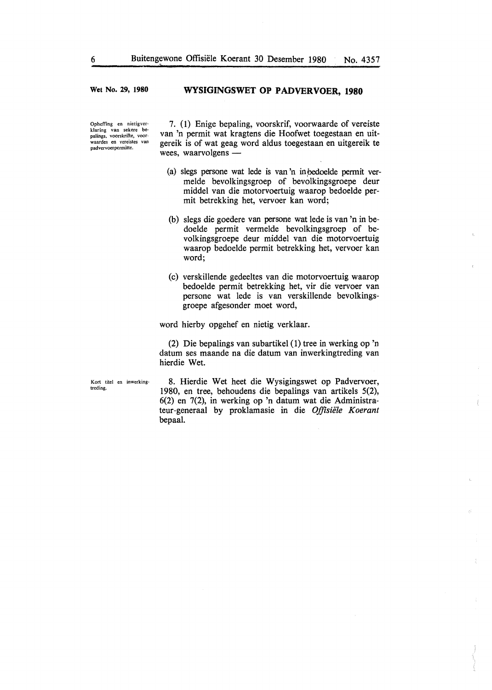**Wet No. 29, 1980** 

#### **WYSIGINGSWET OP PADVERVOER, 1980**

Opheffing en nietigverklaring van sekere be-pa1ings, voorskrifte, voor• waardes en vereistes van padvervoerpermitte.

7. ( 1) Enige bepaling, voorskrif, voorwaarde of vereiste van 'n permit wat kragtens die Hoofwet toegestaan en uitgereik is of wat geag word aldus toegestaan en uitgereik te wees, waarvolgens  $-$ 

- (a) slegs persone wat lede is van 'n inpedoelde pennit vermelde bevolkingsgroep of bevolkingsgroepe deur middel van die motorvoertuig waarop bedoelde permit betrekking het, vervoer kan word;
- (b) slegs die goedere van persone wat lede is van 'n in bedoelde permit vermelde bevolkingsgroep of bevolkingsgroepe deur middel van die motorvoertuig waarop bedoelde permit betrekking het, vervoer kan word;
- (c) verskillende gedeeltes van die motorvoertuig waarop bedoelde permit betrekking het, vir die vervoer van persone wat lede is van verskillende bevolkingsgroepe afgesonder moet word,

word hierby opgehef en nietig verklaar.

(2) Die bepalings van subartikel (1) tree in werking op 'n datum ses maande na die datum van inwerkingtreding van hierdie Wet.

Kort titel en inwerkingtreding.

8. Hierdie Wet heet die Wysigingswet op Padvervoer, 1980, en tree, behoudens die bepalings van artikels 5(2), 6(2) en 7(2), in werking op 'n datum wat die Administrateur-generaal by proklamasie in die *Offlsiele Koerant*  bepaal.